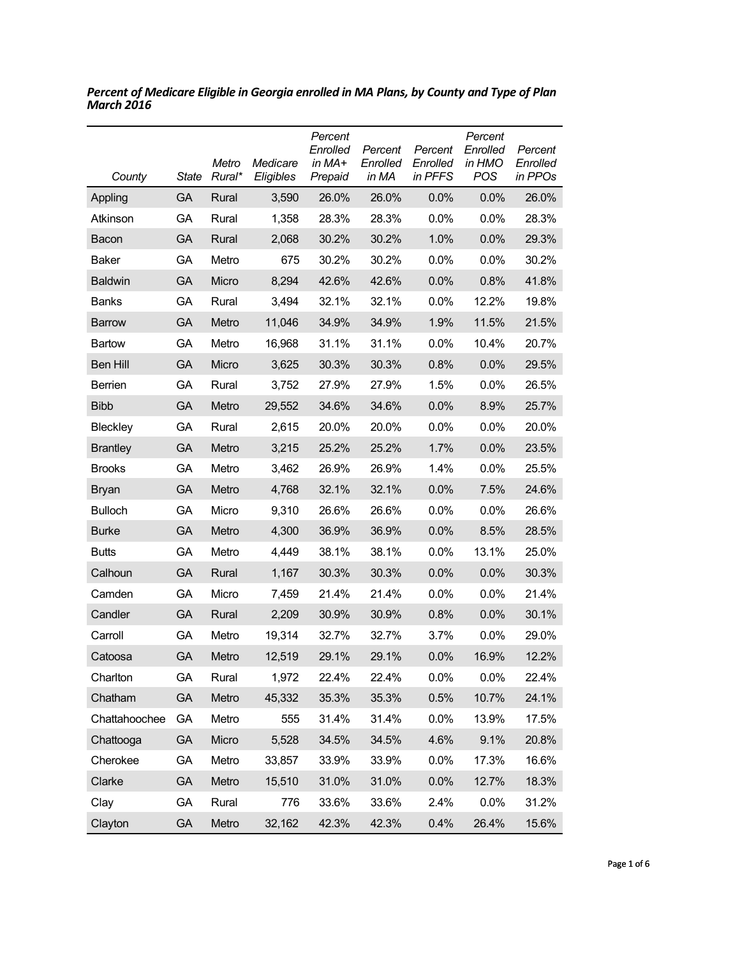| County          | State     | Metro<br>Rural* | Medicare<br>Eligibles | Percent<br>Enrolled<br>in $MA+$<br>Prepaid | Percent<br>Enrolled<br>in MA | Percent<br>Enrolled<br>in PFFS | Percent<br>Enrolled<br>in HMO<br>POS | Percent<br>Enrolled<br>in PPOs |
|-----------------|-----------|-----------------|-----------------------|--------------------------------------------|------------------------------|--------------------------------|--------------------------------------|--------------------------------|
| Appling         | <b>GA</b> | Rural           | 3,590                 | 26.0%                                      | 26.0%                        | 0.0%                           | 0.0%                                 | 26.0%                          |
| Atkinson        | GA        | Rural           | 1,358                 | 28.3%                                      | 28.3%                        | 0.0%                           | $0.0\%$                              | 28.3%                          |
| Bacon           | GA        | Rural           | 2,068                 | 30.2%                                      | 30.2%                        | 1.0%                           | 0.0%                                 | 29.3%                          |
| Baker           | GА        | Metro           | 675                   | 30.2%                                      | 30.2%                        | 0.0%                           | 0.0%                                 | 30.2%                          |
| <b>Baldwin</b>  | GA        | Micro           | 8,294                 | 42.6%                                      | 42.6%                        | 0.0%                           | 0.8%                                 | 41.8%                          |
| <b>Banks</b>    | GA        | Rural           | 3,494                 | 32.1%                                      | 32.1%                        | $0.0\%$                        | 12.2%                                | 19.8%                          |
| <b>Barrow</b>   | GA        | Metro           | 11,046                | 34.9%                                      | 34.9%                        | 1.9%                           | 11.5%                                | 21.5%                          |
| Bartow          | GA        | Metro           | 16,968                | 31.1%                                      | 31.1%                        | 0.0%                           | 10.4%                                | 20.7%                          |
| <b>Ben Hill</b> | GA        | Micro           | 3,625                 | 30.3%                                      | 30.3%                        | 0.8%                           | 0.0%                                 | 29.5%                          |
| Berrien         | GA        | Rural           | 3,752                 | 27.9%                                      | 27.9%                        | 1.5%                           | 0.0%                                 | 26.5%                          |
| <b>Bibb</b>     | GA        | Metro           | 29,552                | 34.6%                                      | 34.6%                        | 0.0%                           | 8.9%                                 | 25.7%                          |
| Bleckley        | GA        | Rural           | 2,615                 | 20.0%                                      | 20.0%                        | 0.0%                           | 0.0%                                 | 20.0%                          |
| <b>Brantley</b> | GA        | Metro           | 3,215                 | 25.2%                                      | 25.2%                        | 1.7%                           | 0.0%                                 | 23.5%                          |
| <b>Brooks</b>   | GА        | Metro           | 3,462                 | 26.9%                                      | 26.9%                        | 1.4%                           | $0.0\%$                              | 25.5%                          |
| <b>Bryan</b>    | GA        | Metro           | 4,768                 | 32.1%                                      | 32.1%                        | 0.0%                           | 7.5%                                 | 24.6%                          |
| <b>Bulloch</b>  | GA        | Micro           | 9,310                 | 26.6%                                      | 26.6%                        | 0.0%                           | $0.0\%$                              | 26.6%                          |
| <b>Burke</b>    | GA        | Metro           | 4,300                 | 36.9%                                      | 36.9%                        | 0.0%                           | 8.5%                                 | 28.5%                          |
| <b>Butts</b>    | GA        | Metro           | 4,449                 | 38.1%                                      | 38.1%                        | $0.0\%$                        | 13.1%                                | 25.0%                          |
| Calhoun         | GA        | Rural           | 1,167                 | 30.3%                                      | 30.3%                        | 0.0%                           | 0.0%                                 | 30.3%                          |
| Camden          | GA        | Micro           | 7,459                 | 21.4%                                      | 21.4%                        | 0.0%                           | 0.0%                                 | 21.4%                          |
| Candler         | GA        | Rural           | 2,209                 | 30.9%                                      | 30.9%                        | 0.8%                           | 0.0%                                 | 30.1%                          |
| Carroll         | GА        | Metro           | 19,314                | 32.7%                                      | 32.7%                        | 3.7%                           | $0.0\%$                              | 29.0%                          |
| Catoosa         | <b>GA</b> | Metro           | 12,519                | 29.1%                                      | 29.1%                        | 0.0%                           | 16.9%                                | 12.2%                          |
| Charlton        | GA        | Rural           | 1,972                 | 22.4%                                      | 22.4%                        | 0.0%                           | 0.0%                                 | 22.4%                          |
| Chatham         | GA        | Metro           | 45,332                | 35.3%                                      | 35.3%                        | 0.5%                           | 10.7%                                | 24.1%                          |
| Chattahoochee   | GA        | Metro           | 555                   | 31.4%                                      | 31.4%                        | 0.0%                           | 13.9%                                | 17.5%                          |
| Chattooga       | GA        | Micro           | 5,528                 | 34.5%                                      | 34.5%                        | 4.6%                           | 9.1%                                 | 20.8%                          |
| Cherokee        | GA        | Metro           | 33,857                | 33.9%                                      | 33.9%                        | 0.0%                           | 17.3%                                | 16.6%                          |
| Clarke          | GA        | Metro           | 15,510                | 31.0%                                      | 31.0%                        | 0.0%                           | 12.7%                                | 18.3%                          |
| Clay            | GA        | Rural           | 776                   | 33.6%                                      | 33.6%                        | 2.4%                           | 0.0%                                 | 31.2%                          |
| Clayton         | GA        | Metro           | 32,162                | 42.3%                                      | 42.3%                        | 0.4%                           | 26.4%                                | 15.6%                          |

*Percent of Medicare Eligible in Georgia enrolled in MA Plans, by County and Type of Plan March 2016*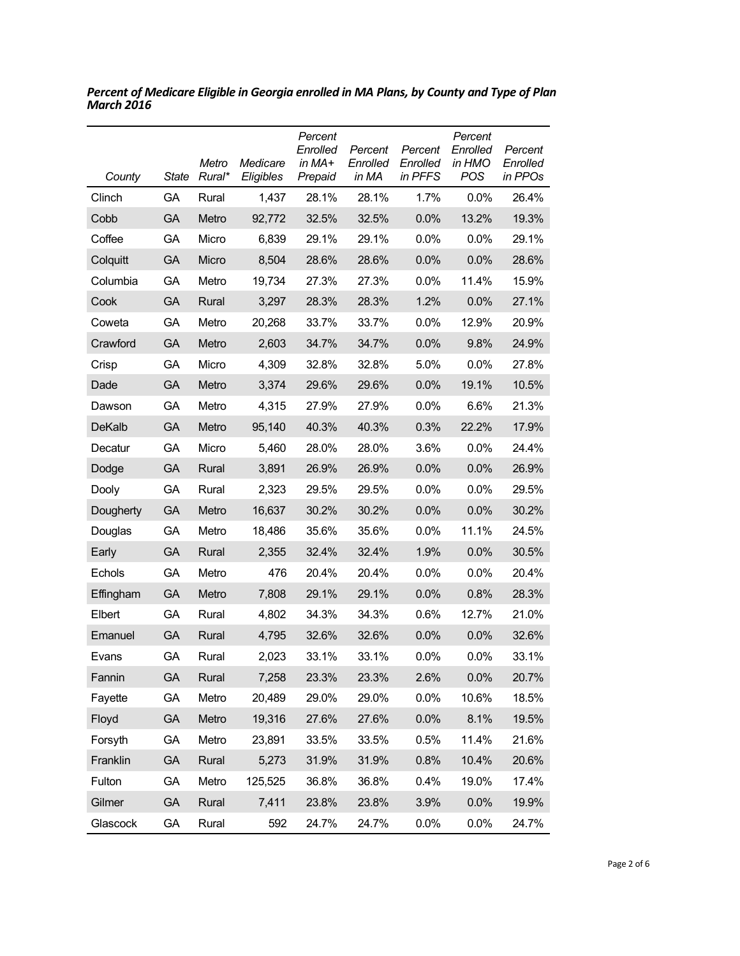| County        | <b>State</b> | Metro<br>Rural* | Medicare<br>Eligibles | Percent<br>Enrolled<br>in MA+<br>Prepaid | Percent<br>Enrolled<br>in MA | Percent<br>Enrolled<br>in PFFS | Percent<br>Enrolled<br>in HMO<br><b>POS</b> | Percent<br>Enrolled<br>in PPOs |
|---------------|--------------|-----------------|-----------------------|------------------------------------------|------------------------------|--------------------------------|---------------------------------------------|--------------------------------|
| Clinch        | GA           | Rural           | 1,437                 | 28.1%                                    | 28.1%                        | 1.7%                           | $0.0\%$                                     | 26.4%                          |
| Cobb          | GA           | Metro           | 92,772                | 32.5%                                    | 32.5%                        | 0.0%                           | 13.2%                                       | 19.3%                          |
| Coffee        | GA           | Micro           | 6,839                 | 29.1%                                    | 29.1%                        | 0.0%                           | 0.0%                                        | 29.1%                          |
| Colquitt      | GA           | Micro           | 8,504                 | 28.6%                                    | 28.6%                        | 0.0%                           | 0.0%                                        | 28.6%                          |
| Columbia      | GA           | Metro           | 19,734                | 27.3%                                    | 27.3%                        | 0.0%                           | 11.4%                                       | 15.9%                          |
| Cook          | GA           | Rural           | 3,297                 | 28.3%                                    | 28.3%                        | 1.2%                           | 0.0%                                        | 27.1%                          |
| Coweta        | GA           | Metro           | 20,268                | 33.7%                                    | 33.7%                        | 0.0%                           | 12.9%                                       | 20.9%                          |
| Crawford      | GA           | Metro           | 2,603                 | 34.7%                                    | 34.7%                        | 0.0%                           | 9.8%                                        | 24.9%                          |
| Crisp         | GA           | Micro           | 4,309                 | 32.8%                                    | 32.8%                        | 5.0%                           | 0.0%                                        | 27.8%                          |
| Dade          | GA           | Metro           | 3,374                 | 29.6%                                    | 29.6%                        | 0.0%                           | 19.1%                                       | 10.5%                          |
| Dawson        | GA           | Metro           | 4,315                 | 27.9%                                    | 27.9%                        | 0.0%                           | 6.6%                                        | 21.3%                          |
| <b>DeKalb</b> | <b>GA</b>    | Metro           | 95,140                | 40.3%                                    | 40.3%                        | 0.3%                           | 22.2%                                       | 17.9%                          |
| Decatur       | GA           | Micro           | 5,460                 | 28.0%                                    | 28.0%                        | 3.6%                           | 0.0%                                        | 24.4%                          |
| Dodge         | GA           | Rural           | 3,891                 | 26.9%                                    | 26.9%                        | 0.0%                           | 0.0%                                        | 26.9%                          |
| Dooly         | GA           | Rural           | 2,323                 | 29.5%                                    | 29.5%                        | 0.0%                           | 0.0%                                        | 29.5%                          |
| Dougherty     | GA           | Metro           | 16,637                | 30.2%                                    | 30.2%                        | 0.0%                           | 0.0%                                        | 30.2%                          |
| Douglas       | GA           | Metro           | 18,486                | 35.6%                                    | 35.6%                        | $0.0\%$                        | 11.1%                                       | 24.5%                          |
| Early         | GA           | Rural           | 2,355                 | 32.4%                                    | 32.4%                        | 1.9%                           | 0.0%                                        | 30.5%                          |
| Echols        | GA           | Metro           | 476                   | 20.4%                                    | 20.4%                        | $0.0\%$                        | 0.0%                                        | 20.4%                          |
| Effingham     | GA           | Metro           | 7,808                 | 29.1%                                    | 29.1%                        | 0.0%                           | 0.8%                                        | 28.3%                          |
| Elbert        | GA           | Rural           | 4,802                 | 34.3%                                    | 34.3%                        | 0.6%                           | 12.7%                                       | 21.0%                          |
| Emanuel       | GA           | Rural           | 4,795                 | 32.6%                                    | 32.6%                        | 0.0%                           | 0.0%                                        | 32.6%                          |
| Evans         | GA           | Rural           | 2,023                 | 33.1%                                    | 33.1%                        | 0.0%                           | $0.0\%$                                     | 33.1%                          |
| Fannin        | GA           | Rural           | 7,258                 | 23.3%                                    | 23.3%                        | 2.6%                           | 0.0%                                        | 20.7%                          |
| Fayette       | GA           | Metro           | 20,489                | 29.0%                                    | 29.0%                        | 0.0%                           | 10.6%                                       | 18.5%                          |
| Floyd         | GA           | Metro           | 19,316                | 27.6%                                    | 27.6%                        | 0.0%                           | 8.1%                                        | 19.5%                          |
| Forsyth       | GA           | Metro           | 23,891                | 33.5%                                    | 33.5%                        | 0.5%                           | 11.4%                                       | 21.6%                          |
| Franklin      | GA           | Rural           | 5,273                 | 31.9%                                    | 31.9%                        | 0.8%                           | 10.4%                                       | 20.6%                          |
| Fulton        | GA           | Metro           | 125,525               | 36.8%                                    | 36.8%                        | 0.4%                           | 19.0%                                       | 17.4%                          |
| Gilmer        | GA           | Rural           | 7,411                 | 23.8%                                    | 23.8%                        | 3.9%                           | 0.0%                                        | 19.9%                          |
| Glascock      | GA           | Rural           | 592                   | 24.7%                                    | 24.7%                        | 0.0%                           | 0.0%                                        | 24.7%                          |

*Percent of Medicare Eligible in Georgia enrolled in MA Plans, by County and Type of Plan March 2016*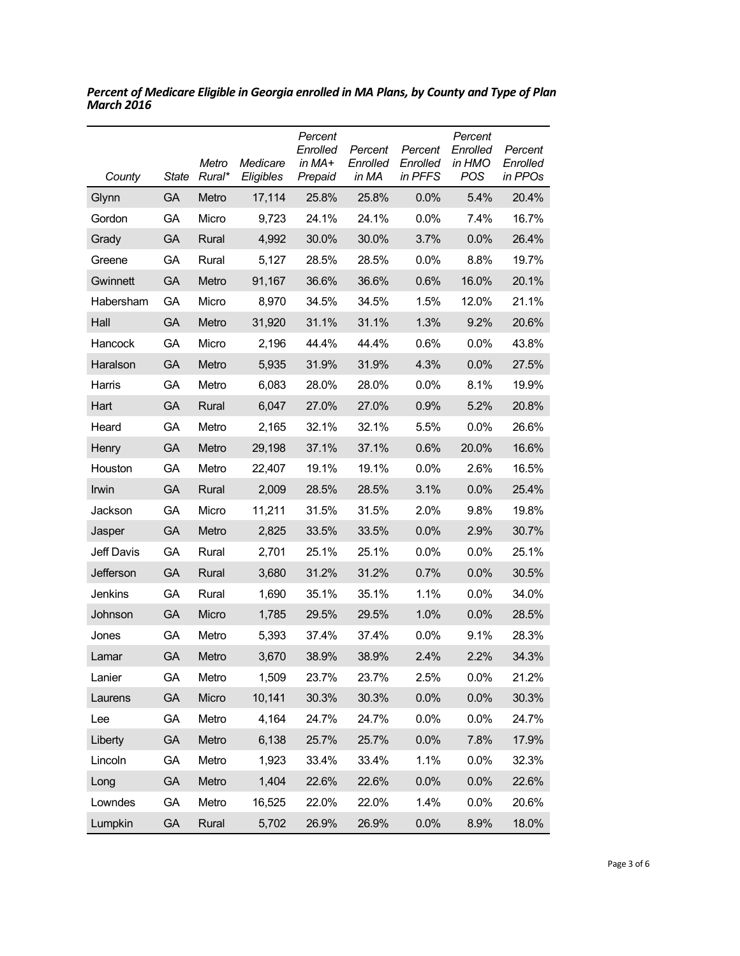| County     | <b>State</b> | Metro<br>Rural* | Medicare<br>Eligibles | Percent<br>Enrolled<br>in MA+<br>Prepaid | Percent<br>Enrolled<br>in MA | Percent<br>Enrolled<br>in PFFS | Percent<br>Enrolled<br>in HMO<br><b>POS</b> | Percent<br>Enrolled<br>in PPOs |
|------------|--------------|-----------------|-----------------------|------------------------------------------|------------------------------|--------------------------------|---------------------------------------------|--------------------------------|
| Glynn      | GA           | Metro           | 17,114                | 25.8%                                    | 25.8%                        | 0.0%                           | 5.4%                                        | 20.4%                          |
| Gordon     | GA           | Micro           | 9,723                 | 24.1%                                    | 24.1%                        | 0.0%                           | 7.4%                                        | 16.7%                          |
| Grady      | GA           | Rural           | 4,992                 | 30.0%                                    | 30.0%                        | 3.7%                           | 0.0%                                        | 26.4%                          |
| Greene     | GA           | Rural           | 5,127                 | 28.5%                                    | 28.5%                        | 0.0%                           | 8.8%                                        | 19.7%                          |
| Gwinnett   | GA           | Metro           | 91,167                | 36.6%                                    | 36.6%                        | 0.6%                           | 16.0%                                       | 20.1%                          |
| Habersham  | GA           | Micro           | 8,970                 | 34.5%                                    | 34.5%                        | 1.5%                           | 12.0%                                       | 21.1%                          |
| Hall       | GA           | Metro           | 31,920                | 31.1%                                    | 31.1%                        | 1.3%                           | 9.2%                                        | 20.6%                          |
| Hancock    | GA           | Micro           | 2,196                 | 44.4%                                    | 44.4%                        | 0.6%                           | 0.0%                                        | 43.8%                          |
| Haralson   | GA           | Metro           | 5,935                 | 31.9%                                    | 31.9%                        | 4.3%                           | 0.0%                                        | 27.5%                          |
| Harris     | GA           | Metro           | 6,083                 | 28.0%                                    | 28.0%                        | 0.0%                           | 8.1%                                        | 19.9%                          |
| Hart       | GA           | Rural           | 6,047                 | 27.0%                                    | 27.0%                        | 0.9%                           | 5.2%                                        | 20.8%                          |
| Heard      | GA           | Metro           | 2,165                 | 32.1%                                    | 32.1%                        | 5.5%                           | 0.0%                                        | 26.6%                          |
| Henry      | GA           | Metro           | 29,198                | 37.1%                                    | 37.1%                        | 0.6%                           | 20.0%                                       | 16.6%                          |
| Houston    | GA           | Metro           | 22,407                | 19.1%                                    | 19.1%                        | 0.0%                           | 2.6%                                        | 16.5%                          |
| Irwin      | <b>GA</b>    | Rural           | 2,009                 | 28.5%                                    | 28.5%                        | 3.1%                           | 0.0%                                        | 25.4%                          |
| Jackson    | GA           | Micro           | 11,211                | 31.5%                                    | 31.5%                        | 2.0%                           | 9.8%                                        | 19.8%                          |
| Jasper     | GA           | Metro           | 2,825                 | 33.5%                                    | 33.5%                        | 0.0%                           | 2.9%                                        | 30.7%                          |
| Jeff Davis | GA           | Rural           | 2,701                 | 25.1%                                    | 25.1%                        | 0.0%                           | 0.0%                                        | 25.1%                          |
| Jefferson  | GA           | Rural           | 3,680                 | 31.2%                                    | 31.2%                        | 0.7%                           | 0.0%                                        | 30.5%                          |
| Jenkins    | GA           | Rural           | 1,690                 | 35.1%                                    | 35.1%                        | 1.1%                           | 0.0%                                        | 34.0%                          |
| Johnson    | GA           | Micro           | 1,785                 | 29.5%                                    | 29.5%                        | 1.0%                           | 0.0%                                        | 28.5%                          |
| Jones      | GA           | Metro           | 5,393                 | 37.4%                                    | 37.4%                        | 0.0%                           | 9.1%                                        | 28.3%                          |
| Lamar      | <b>GA</b>    | Metro           | 3,670                 | 38.9%                                    | 38.9%                        | 2.4%                           | 2.2%                                        | 34.3%                          |
| Lanier     | GA           | Metro           | 1,509                 | 23.7%                                    | 23.7%                        | 2.5%                           | 0.0%                                        | 21.2%                          |
| Laurens    | GA           | Micro           | 10,141                | 30.3%                                    | 30.3%                        | 0.0%                           | 0.0%                                        | 30.3%                          |
| Lee        | GA           | Metro           | 4,164                 | 24.7%                                    | 24.7%                        | 0.0%                           | 0.0%                                        | 24.7%                          |
| Liberty    | GA           | Metro           | 6,138                 | 25.7%                                    | 25.7%                        | 0.0%                           | 7.8%                                        | 17.9%                          |
| Lincoln    | GA           | Metro           | 1,923                 | 33.4%                                    | 33.4%                        | 1.1%                           | 0.0%                                        | 32.3%                          |
| Long       | GA           | Metro           | 1,404                 | 22.6%                                    | 22.6%                        | 0.0%                           | 0.0%                                        | 22.6%                          |
| Lowndes    | GA           | Metro           | 16,525                | 22.0%                                    | 22.0%                        | 1.4%                           | 0.0%                                        | 20.6%                          |
| Lumpkin    | GA           | Rural           | 5,702                 | 26.9%                                    | 26.9%                        | 0.0%                           | 8.9%                                        | 18.0%                          |

*Percent of Medicare Eligible in Georgia enrolled in MA Plans, by County and Type of Plan March 2016*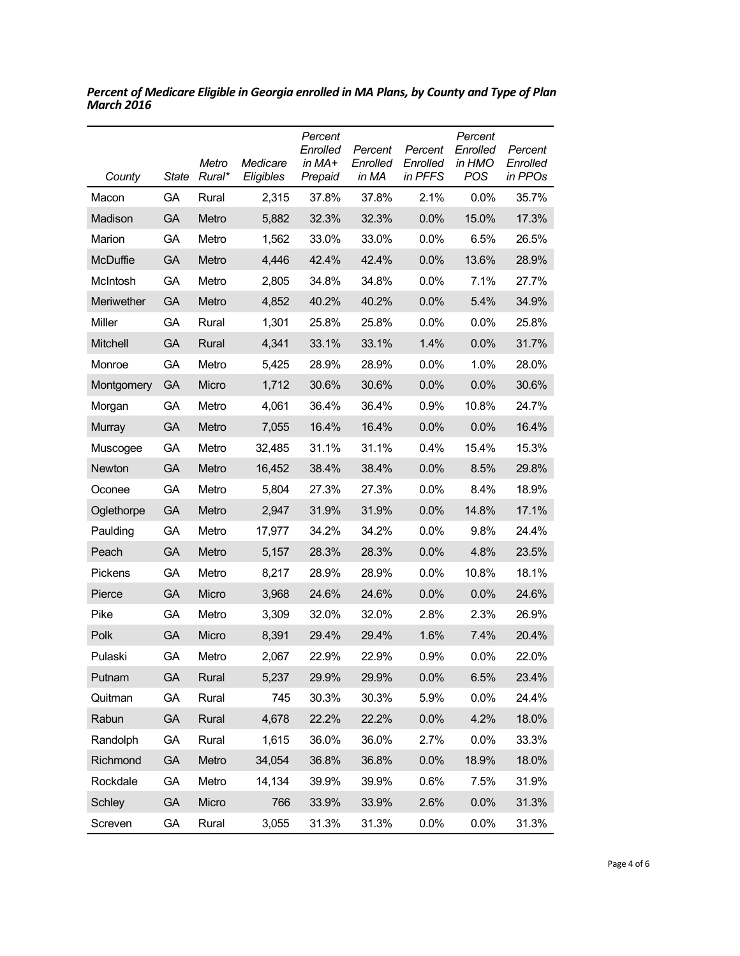| County     | <b>State</b> | Metro<br>Rural* | Medicare<br>Eligibles | Percent<br>Enrolled<br>in MA+<br>Prepaid | Percent<br>Enrolled<br>in MA | Percent<br>Enrolled<br>in PFFS | Percent<br>Enrolled<br>in HMO<br><b>POS</b> | Percent<br>Enrolled<br>in PPOs |
|------------|--------------|-----------------|-----------------------|------------------------------------------|------------------------------|--------------------------------|---------------------------------------------|--------------------------------|
| Macon      | GA           | Rural           | 2,315                 | 37.8%                                    | 37.8%                        | 2.1%                           | 0.0%                                        | 35.7%                          |
| Madison    | GA           | Metro           | 5,882                 | 32.3%                                    | 32.3%                        | 0.0%                           | 15.0%                                       | 17.3%                          |
| Marion     | GA           | Metro           | 1,562                 | 33.0%                                    | 33.0%                        | 0.0%                           | 6.5%                                        | 26.5%                          |
| McDuffie   | <b>GA</b>    | Metro           | 4,446                 | 42.4%                                    | 42.4%                        | 0.0%                           | 13.6%                                       | 28.9%                          |
| McIntosh   | GA           | Metro           | 2,805                 | 34.8%                                    | 34.8%                        | 0.0%                           | 7.1%                                        | 27.7%                          |
| Meriwether | GA           | Metro           | 4,852                 | 40.2%                                    | 40.2%                        | 0.0%                           | 5.4%                                        | 34.9%                          |
| Miller     | GA           | Rural           | 1,301                 | 25.8%                                    | 25.8%                        | $0.0\%$                        | 0.0%                                        | 25.8%                          |
| Mitchell   | GA           | Rural           | 4,341                 | 33.1%                                    | 33.1%                        | 1.4%                           | 0.0%                                        | 31.7%                          |
| Monroe     | GA           | Metro           | 5,425                 | 28.9%                                    | 28.9%                        | 0.0%                           | 1.0%                                        | 28.0%                          |
| Montgomery | GA           | Micro           | 1,712                 | 30.6%                                    | 30.6%                        | 0.0%                           | 0.0%                                        | 30.6%                          |
| Morgan     | GA           | Metro           | 4,061                 | 36.4%                                    | 36.4%                        | 0.9%                           | 10.8%                                       | 24.7%                          |
| Murray     | <b>GA</b>    | Metro           | 7,055                 | 16.4%                                    | 16.4%                        | 0.0%                           | 0.0%                                        | 16.4%                          |
| Muscogee   | GA           | Metro           | 32,485                | 31.1%                                    | 31.1%                        | 0.4%                           | 15.4%                                       | 15.3%                          |
| Newton     | <b>GA</b>    | Metro           | 16,452                | 38.4%                                    | 38.4%                        | 0.0%                           | 8.5%                                        | 29.8%                          |
| Oconee     | GA           | Metro           | 5,804                 | 27.3%                                    | 27.3%                        | 0.0%                           | 8.4%                                        | 18.9%                          |
| Oglethorpe | GA           | Metro           | 2,947                 | 31.9%                                    | 31.9%                        | 0.0%                           | 14.8%                                       | 17.1%                          |
| Paulding   | GA           | Metro           | 17,977                | 34.2%                                    | 34.2%                        | $0.0\%$                        | 9.8%                                        | 24.4%                          |
| Peach      | GA           | Metro           | 5,157                 | 28.3%                                    | 28.3%                        | 0.0%                           | 4.8%                                        | 23.5%                          |
| Pickens    | GA           | Metro           | 8,217                 | 28.9%                                    | 28.9%                        | 0.0%                           | 10.8%                                       | 18.1%                          |
| Pierce     | <b>GA</b>    | Micro           | 3,968                 | 24.6%                                    | 24.6%                        | 0.0%                           | 0.0%                                        | 24.6%                          |
| Pike       | GA           | Metro           | 3,309                 | 32.0%                                    | 32.0%                        | 2.8%                           | 2.3%                                        | 26.9%                          |
| Polk       | GA           | Micro           | 8,391                 | 29.4%                                    | 29.4%                        | 1.6%                           | 7.4%                                        | 20.4%                          |
| Pulaski    | GA           | Metro           | 2,067                 | 22.9%                                    | 22.9%                        | 0.9%                           | 0.0%                                        | 22.0%                          |
| Putnam     | GA           | Rural           | 5,237                 | 29.9%                                    | 29.9%                        | 0.0%                           | 6.5%                                        | 23.4%                          |
| Quitman    | GA           | Rural           | 745                   | 30.3%                                    | 30.3%                        | 5.9%                           | 0.0%                                        | 24.4%                          |
| Rabun      | <b>GA</b>    | Rural           | 4,678                 | 22.2%                                    | 22.2%                        | 0.0%                           | 4.2%                                        | 18.0%                          |
| Randolph   | GA           | Rural           | 1,615                 | 36.0%                                    | 36.0%                        | 2.7%                           | 0.0%                                        | 33.3%                          |
| Richmond   | GA           | Metro           | 34,054                | 36.8%                                    | 36.8%                        | 0.0%                           | 18.9%                                       | 18.0%                          |
| Rockdale   | GA           | Metro           | 14,134                | 39.9%                                    | 39.9%                        | 0.6%                           | 7.5%                                        | 31.9%                          |
| Schley     | GA           | Micro           | 766                   | 33.9%                                    | 33.9%                        | 2.6%                           | 0.0%                                        | 31.3%                          |
| Screven    | GA           | Rural           | 3,055                 | 31.3%                                    | 31.3%                        | 0.0%                           | 0.0%                                        | 31.3%                          |

*Percent of Medicare Eligible in Georgia enrolled in MA Plans, by County and Type of Plan March 2016*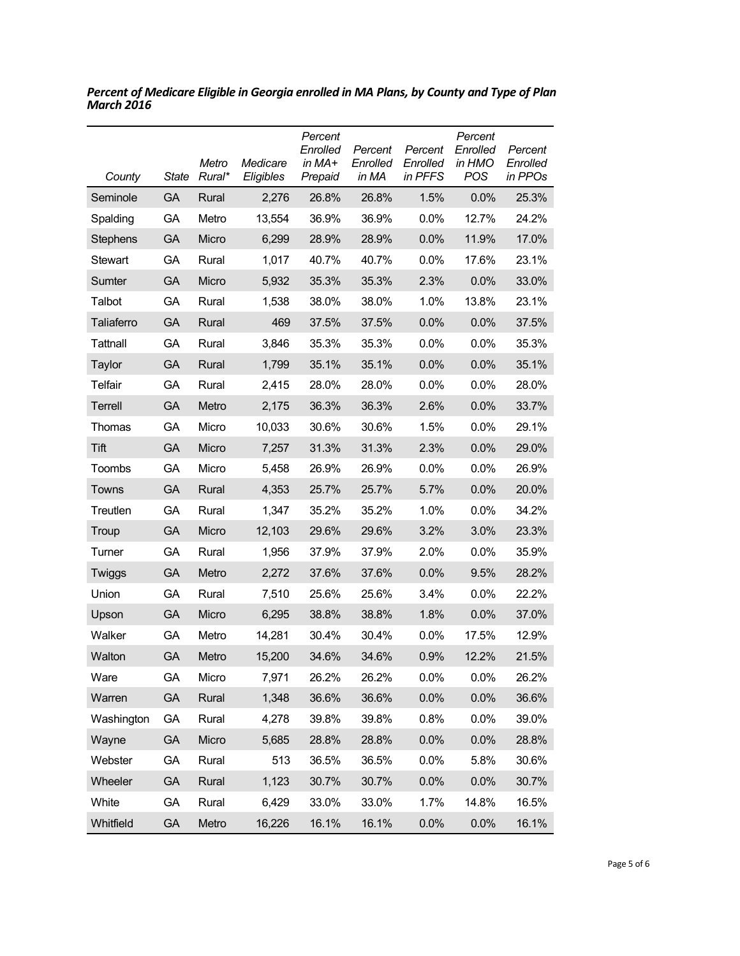| County          | <b>State</b> | Metro<br>Rural* | Medicare<br>Eligibles | Percent<br>Enrolled<br>in MA+<br>Prepaid | Percent<br>Enrolled<br>in MA | Percent<br>Enrolled<br>in PFFS | Percent<br>Enrolled<br>in HMO<br>POS | Percent<br>Enrolled<br>in PPOs |
|-----------------|--------------|-----------------|-----------------------|------------------------------------------|------------------------------|--------------------------------|--------------------------------------|--------------------------------|
| Seminole        | GA           | Rural           | 2,276                 | 26.8%                                    | 26.8%                        | 1.5%                           | 0.0%                                 | 25.3%                          |
| Spalding        | GA           | Metro           | 13,554                | 36.9%                                    | 36.9%                        | 0.0%                           | 12.7%                                | 24.2%                          |
| <b>Stephens</b> | GA           | Micro           | 6,299                 | 28.9%                                    | 28.9%                        | 0.0%                           | 11.9%                                | 17.0%                          |
| Stewart         | GА           | Rural           | 1,017                 | 40.7%                                    | 40.7%                        | 0.0%                           | 17.6%                                | 23.1%                          |
| Sumter          | GA           | Micro           | 5,932                 | 35.3%                                    | 35.3%                        | 2.3%                           | 0.0%                                 | 33.0%                          |
| Talbot          | GA           | Rural           | 1,538                 | 38.0%                                    | 38.0%                        | 1.0%                           | 13.8%                                | 23.1%                          |
| Taliaferro      | GA           | Rural           | 469                   | 37.5%                                    | 37.5%                        | 0.0%                           | 0.0%                                 | 37.5%                          |
| Tattnall        | GA           | Rural           | 3,846                 | 35.3%                                    | 35.3%                        | 0.0%                           | $0.0\%$                              | 35.3%                          |
| Taylor          | GA           | Rural           | 1,799                 | 35.1%                                    | 35.1%                        | 0.0%                           | 0.0%                                 | 35.1%                          |
| Telfair         | GA           | Rural           | 2,415                 | 28.0%                                    | 28.0%                        | 0.0%                           | $0.0\%$                              | 28.0%                          |
| Terrell         | GA           | Metro           | 2,175                 | 36.3%                                    | 36.3%                        | 2.6%                           | 0.0%                                 | 33.7%                          |
| Thomas          | GA           | Micro           | 10,033                | 30.6%                                    | 30.6%                        | 1.5%                           | 0.0%                                 | 29.1%                          |
| Tift            | <b>GA</b>    | Micro           | 7,257                 | 31.3%                                    | 31.3%                        | 2.3%                           | 0.0%                                 | 29.0%                          |
| Toombs          | GA           | Micro           | 5,458                 | 26.9%                                    | 26.9%                        | 0.0%                           | 0.0%                                 | 26.9%                          |
| Towns           | <b>GA</b>    | Rural           | 4,353                 | 25.7%                                    | 25.7%                        | 5.7%                           | 0.0%                                 | 20.0%                          |
| Treutlen        | GA           | Rural           | 1,347                 | 35.2%                                    | 35.2%                        | 1.0%                           | $0.0\%$                              | 34.2%                          |
| Troup           | GA           | Micro           | 12,103                | 29.6%                                    | 29.6%                        | 3.2%                           | 3.0%                                 | 23.3%                          |
| Turner          | GA           | Rural           | 1,956                 | 37.9%                                    | 37.9%                        | 2.0%                           | $0.0\%$                              | 35.9%                          |
| Twiggs          | GA           | Metro           | 2,272                 | 37.6%                                    | 37.6%                        | 0.0%                           | 9.5%                                 | 28.2%                          |
| Union           | GA           | Rural           | 7,510                 | 25.6%                                    | 25.6%                        | 3.4%                           | $0.0\%$                              | 22.2%                          |
| Upson           | <b>GA</b>    | Micro           | 6,295                 | 38.8%                                    | 38.8%                        | 1.8%                           | 0.0%                                 | 37.0%                          |
| Walker          | GА           | Metro           | 14,281                | 30.4%                                    | 30.4%                        | 0.0%                           | 17.5%                                | 12.9%                          |
| Walton          | GA           | Metro           | 15,200                | 34.6%                                    | 34.6%                        | 0.9%                           | 12.2%                                | 21.5%                          |
| Ware            | GA           | Micro           | 7,971                 | 26.2%                                    | 26.2%                        | 0.0%                           | 0.0%                                 | 26.2%                          |
| Warren          | GA           | Rural           | 1,348                 | 36.6%                                    | 36.6%                        | 0.0%                           | 0.0%                                 | 36.6%                          |
| Washington      | GA           | Rural           | 4,278                 | 39.8%                                    | 39.8%                        | 0.8%                           | 0.0%                                 | 39.0%                          |
| Wayne           | GA           | Micro           | 5,685                 | 28.8%                                    | 28.8%                        | 0.0%                           | 0.0%                                 | 28.8%                          |
| Webster         | GA           | Rural           | 513                   | 36.5%                                    | 36.5%                        | 0.0%                           | 5.8%                                 | 30.6%                          |
| Wheeler         | GA           | Rural           | 1,123                 | 30.7%                                    | 30.7%                        | 0.0%                           | 0.0%                                 | 30.7%                          |
| White           | GA           | Rural           | 6,429                 | 33.0%                                    | 33.0%                        | 1.7%                           | 14.8%                                | 16.5%                          |
| Whitfield       | GA           | Metro           | 16,226                | 16.1%                                    | 16.1%                        | 0.0%                           | 0.0%                                 | 16.1%                          |

*Percent of Medicare Eligible in Georgia enrolled in MA Plans, by County and Type of Plan March 2016*